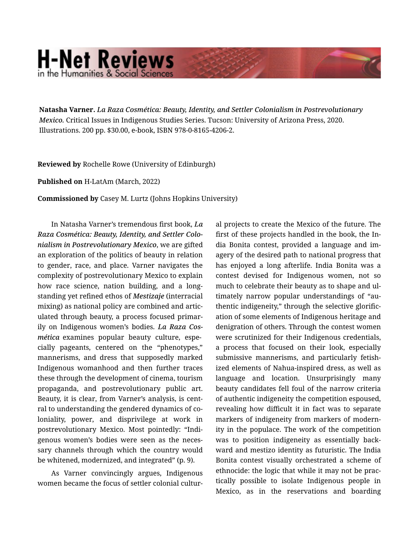## **H-Net Reviews** in the Humanities & Social Scienc

**Natasha Varner.** *La Raza Cosmética: Beauty, Identity, and Settler Colonialism in Postrevolutionary Mexico.* Critical Issues in Indigenous Studies Series. Tucson: University of Arizona Press, 2020. Illustrations. 200 pp. \$30.00, e-book, ISBN 978-0-8165-4206-2.

**Reviewed by** Rochelle Rowe (University of Edinburgh)

**Published on** H-LatAm (March, 2022)

**Commissioned by** Casey M. Lurtz (Johns Hopkins University)

In Natasha Varner's tremendous first book, *La Raza Cosmética: Beauty, Identity, and Settler Colo‐ nialism in Postrevolutionary Mexico*, we are gifted an exploration of the politics of beauty in relation to gender, race, and place. Varner navigates the complexity of postrevolutionary Mexico to explain how race science, nation building, and a long‐ standing yet refined ethos of *Mestizaje* (interracial mixing) as national policy are combined and artic‐ ulated through beauty, a process focused primar‐ ily on Indigenous women's bodies. *La Raza Cos‐ mética* examines popular beauty culture, espe‐ cially pageants, centered on the "phenotypes," mannerisms, and dress that supposedly marked Indigenous womanhood and then further traces these through the development of cinema, tourism propaganda, and postrevolutionary public art. Beauty, it is clear, from Varner's analysis, is cent‐ ral to understanding the gendered dynamics of co‐ loniality, power, and disprivilege at work in postrevolutionary Mexico. Most pointedly: "Indi‐ genous women's bodies were seen as the neces‐ sary channels through which the country would be whitened, modernized, and integrated" (p. 9).

As Varner convincingly argues, Indigenous women became the focus of settler colonial cultur‐ al projects to create the Mexico of the future. The first of these projects handled in the book, the In‐ dia Bonita contest, provided a language and im‐ agery of the desired path to national progress that has enjoyed a long afterlife. India Bonita was a contest devised for Indigenous women, not so much to celebrate their beauty as to shape and ul‐ timately narrow popular understandings of "au‐ thentic indigeneity," through the selective glorific‐ ation of some elements of Indigenous heritage and denigration of others. Through the contest women were scrutinized for their Indigenous credentials, a process that focused on their look, especially submissive mannerisms, and particularly fetish‐ ized elements of Nahua-inspired dress, as well as language and location. Unsurprisingly many beauty candidates fell foul of the narrow criteria of authentic indigeneity the competition espoused, revealing how difficult it in fact was to separate markers of indigeneity from markers of modern‐ ity in the populace. The work of the competition was to position indigeneity as essentially back‐ ward and mestizo identity as futuristic. The India Bonita contest visually orchestrated a scheme of ethnocide: the logic that while it may not be prac‐ tically possible to isolate Indigenous people in Mexico, as in the reservations and boarding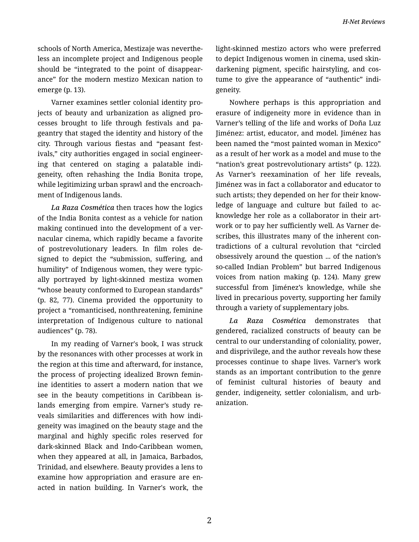schools of North America, Mestizaje was neverthe‐ less an incomplete project and Indigenous people should be "integrated to the point of disappear‐ ance" for the modern mestizo Mexican nation to emerge (p. 13).

Varner examines settler colonial identity pro‐ jects of beauty and urbanization as aligned pro‐ cesses brought to life through festivals and pa‐ geantry that staged the identity and history of the city. Through various fiestas and "peasant fest‐ ivals," city authorities engaged in social engineer‐ ing that centered on staging a palatable indi‐ geneity, often rehashing the India Bonita trope, while legitimizing urban sprawl and the encroach‐ ment of Indigenous lands.

*La Raza Cosmética* then traces how the logics of the India Bonita contest as a vehicle for nation making continued into the development of a ver‐ nacular cinema, which rapidly became a favorite of postrevolutionary leaders. In film roles de‐ signed to depict the "submission, suffering, and humility" of Indigenous women, they were typic‐ ally portrayed by light-skinned mestiza women "whose beauty conformed to European standards" (p. 82, 77). Cinema provided the opportunity to project a "romanticised, nonthreatening, feminine interpretation of Indigenous culture to national audiences" (p. 78).

In my reading of Varner's book, I was struck by the resonances with other processes at work in the region at this time and afterward, for instance, the process of projecting idealized Brown femin‐ ine identities to assert a modern nation that we see in the beauty competitions in Caribbean is‐ lands emerging from empire. Varner's study re‐ veals similarities and differences with how indi‐ geneity was imagined on the beauty stage and the marginal and highly specific roles reserved for dark-skinned Black and Indo-Caribbean women, when they appeared at all, in Jamaica, Barbados, Trinidad, and elsewhere. Beauty provides a lens to examine how appropriation and erasure are en‐ acted in nation building. In Varner's work, the light-skinned mestizo actors who were preferred to depict Indigenous women in cinema, used skindarkening pigment, specific hairstyling, and cos‐ tume to give the appearance of "authentic" indigeneity.

Nowhere perhaps is this appropriation and erasure of indigeneity more in evidence than in Varner's telling of the life and works of Doña Luz Jiménez: artist, educator, and model. Jiménez has been named the "most painted woman in Mexico" as a result of her work as a model and muse to the "nation's great postrevolutionary artists" (p. 122). As Varner's reexamination of her life reveals, Jiménez was in fact a collaborator and educator to such artists; they depended on her for their know‐ ledge of language and culture but failed to ac‐ knowledge her role as a collaborator in their art‐ work or to pay her sufficiently well. As Varner de‐ scribes, this illustrates many of the inherent con‐ tradictions of a cultural revolution that "circled obsessively around the question ... of the nation's so-called Indian Problem" but barred Indigenous voices from nation making (p. 124). Many grew successful from Jiménez's knowledge, while she lived in precarious poverty, supporting her family through a variety of supplementary jobs.

*La Raza Cosmética* demonstrates that gendered, racialized constructs of beauty can be central to our understanding of coloniality, power, and disprivilege, and the author reveals how these processes continue to shape lives. Varner's work stands as an important contribution to the genre of feminist cultural histories of beauty and gender, indigeneity, settler colonialism, and urb‐ anization.